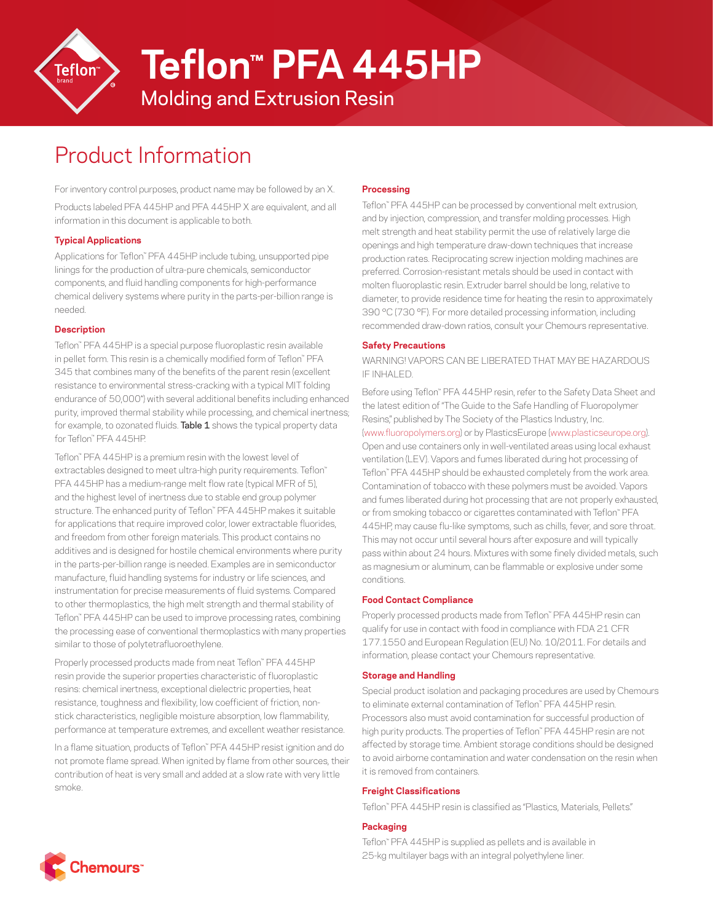

**Teflon™ PFA 445HP**

Molding and Extrusion Resin

# Product Information

For inventory control purposes, product name may be followed by an X. Products labeled PFA 445HP and PFA 445HP X are equivalent, and all information in this document is applicable to both.

## **Typical Applications**

Applications for Teflon™ PFA 445HP include tubing, unsupported pipe linings for the production of ultra-pure chemicals, semiconductor components, and fluid handling components for high-performance chemical delivery systems where purity in the parts-per-billion range is needed.

## **Description**

Teflon™ PFA 445HP is a special purpose fluoroplastic resin available in pellet form. This resin is a chemically modified form of Teflon™ PFA 345 that combines many of the benefits of the parent resin (excellent resistance to environmental stress-cracking with a typical MIT folding endurance of 50,000\*) with several additional benefits including enhanced purity, improved thermal stability while processing, and chemical inertness; for example, to ozonated fluids. Table 1 shows the typical property data for Teflon™ PFA 445HP.

Teflon™ PFA 445HP is a premium resin with the lowest level of extractables designed to meet ultra-high purity requirements. Teflon™ PFA 445HP has a medium-range melt flow rate (typical MFR of 5), and the highest level of inertness due to stable end group polymer structure. The enhanced purity of Teflon™ PFA 445HP makes it suitable for applications that require improved color, lower extractable fluorides, and freedom from other foreign materials. This product contains no additives and is designed for hostile chemical environments where purity in the parts-per-billion range is needed. Examples are in semiconductor manufacture, fluid handling systems for industry or life sciences, and instrumentation for precise measurements of fluid systems. Compared to other thermoplastics, the high melt strength and thermal stability of Teflon™ PFA 445HP can be used to improve processing rates, combining the processing ease of conventional thermoplastics with many properties similar to those of polytetrafluoroethylene.

Properly processed products made from neat Teflon™ PFA 445HP resin provide the superior properties characteristic of fluoroplastic resins: chemical inertness, exceptional dielectric properties, heat resistance, toughness and flexibility, low coefficient of friction, nonstick characteristics, negligible moisture absorption, low flammability, performance at temperature extremes, and excellent weather resistance.

In a flame situation, products of Teflon™ PFA 445HP resist ignition and do not promote flame spread. When ignited by flame from other sources, their contribution of heat is very small and added at a slow rate with very little smoke.

# **Processing**

Teflon™ PFA 445HP can be processed by conventional melt extrusion, and by injection, compression, and transfer molding processes. High melt strength and heat stability permit the use of relatively large die openings and high temperature draw-down techniques that increase production rates. Reciprocating screw injection molding machines are preferred. Corrosion-resistant metals should be used in contact with molten fluoroplastic resin. Extruder barrel should be long, relative to diameter, to provide residence time for heating the resin to approximately 390 °C (730 °F). For more detailed processing information, including recommended draw-down ratios, consult your Chemours representative.

## **Safety Precautions**

WARNING! VAPORS CAN BE LIBERATED THAT MAY BE HAZARDOUS IF INHALED.

Before using Teflon™ PFA 445HP resin, refer to the Safety Data Sheet and the latest edition of "The Guide to the Safe Handling of Fluoropolymer Resins," published by The Society of the Plastics Industry, Inc. ([www.fluoropolymers.org](http://www.fluoropolymers.org)) or by PlasticsEurope ([www.plasticseurope.org\)](http://www.plasticseurope.org). Open and use containers only in well-ventilated areas using local exhaust ventilation (LEV). Vapors and fumes liberated during hot processing of Teflon™ PFA 445HP should be exhausted completely from the work area. Contamination of tobacco with these polymers must be avoided. Vapors and fumes liberated during hot processing that are not properly exhausted, or from smoking tobacco or cigarettes contaminated with Teflon™ PFA 445HP, may cause flu-like symptoms, such as chills, fever, and sore throat. This may not occur until several hours after exposure and will typically pass within about 24 hours. Mixtures with some finely divided metals, such as magnesium or aluminum, can be flammable or explosive under some conditions.

## **Food Contact Compliance**

Properly processed products made from Teflon™ PFA 445HP resin can qualify for use in contact with food in compliance with FDA 21 CFR 177.1550 and European Regulation (EU) No. 10/2011. For details and information, please contact your Chemours representative.

## **Storage and Handling**

Special product isolation and packaging procedures are used by Chemours to eliminate external contamination of Teflon™ PFA 445HP resin. Processors also must avoid contamination for successful production of high purity products. The properties of Teflon™ PFA 445HP resin are not affected by storage time. Ambient storage conditions should be designed to avoid airborne contamination and water condensation on the resin when it is removed from containers.

## **Freight Classifications**

Teflon™ PFA 445HP resin is classified as "Plastics, Materials, Pellets."

# **Packaging**

Teflon™ PFA 445HP is supplied as pellets and is available in 25-kg multilayer bags with an integral polyethylene liner.